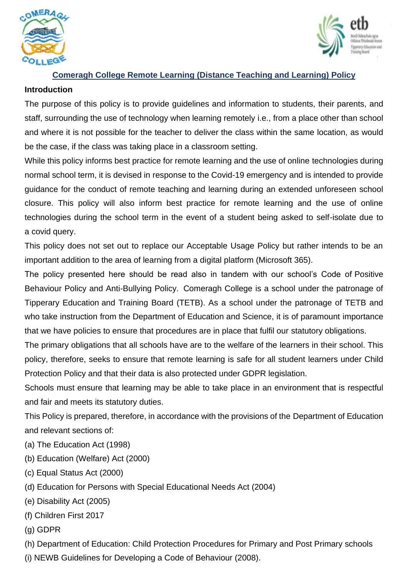



# **Comeragh College Remote Learning (Distance Teaching and Learning) Policy**

#### **Introduction**

The purpose of this policy is to provide guidelines and information to students, their parents, and staff, surrounding the use of technology when learning remotely i.e., from a place other than school and where it is not possible for the teacher to deliver the class within the same location, as would be the case, if the class was taking place in a classroom setting.

While this policy informs best practice for remote learning and the use of online technologies during normal school term, it is devised in response to the Covid-19 emergency and is intended to provide guidance for the conduct of remote teaching and learning during an extended unforeseen school closure. This policy will also inform best practice for remote learning and the use of online technologies during the school term in the event of a student being asked to self-isolate due to a covid query.

This policy does not set out to replace our Acceptable Usage Policy but rather intends to be an important addition to the area of learning from a digital platform (Microsoft 365).

The policy presented here should be read also in tandem with our school's Code of Positive Behaviour Policy and Anti-Bullying Policy. Comeragh College is a school under the patronage of Tipperary Education and Training Board (TETB). As a school under the patronage of TETB and who take instruction from the Department of Education and Science, it is of paramount importance that we have policies to ensure that procedures are in place that fulfil our statutory obligations.

The primary obligations that all schools have are to the welfare of the learners in their school. This policy, therefore, seeks to ensure that remote learning is safe for all student learners under Child Protection Policy and that their data is also protected under GDPR legislation.

Schools must ensure that learning may be able to take place in an environment that is respectful and fair and meets its statutory duties.

This Policy is prepared, therefore, in accordance with the provisions of the Department of Education and relevant sections of:

- (a) The Education Act (1998)
- (b) Education (Welfare) Act (2000)
- (c) Equal Status Act (2000)
- (d) Education for Persons with Special Educational Needs Act (2004)
- (e) Disability Act (2005)
- (f) Children First 2017
- (g) GDPR

(h) Department of Education: Child Protection Procedures for Primary and Post Primary schools

(i) NEWB Guidelines for Developing a Code of Behaviour (2008).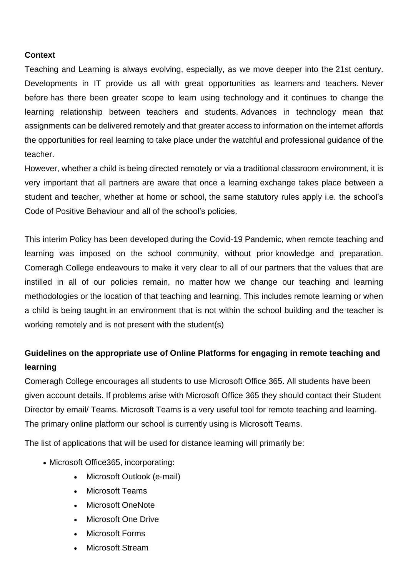# **Context**

Teaching and Learning is always evolving, especially, as we move deeper into the 21st century. Developments in IT provide us all with great opportunities as learners and teachers. Never before has there been greater scope to learn using technology and it continues to change the learning relationship between teachers and students. Advances in technology mean that assignments can be delivered remotely and that greater access to information on the internet affords the opportunities for real learning to take place under the watchful and professional guidance of the teacher.

However, whether a child is being directed remotely or via a traditional classroom environment, it is very important that all partners are aware that once a learning exchange takes place between a student and teacher, whether at home or school, the same statutory rules apply i.e. the school's Code of Positive Behaviour and all of the school's policies.

This interim Policy has been developed during the Covid-19 Pandemic, when remote teaching and learning was imposed on the school community, without prior knowledge and preparation. Comeragh College endeavours to make it very clear to all of our partners that the values that are instilled in all of our policies remain, no matter how we change our teaching and learning methodologies or the location of that teaching and learning. This includes remote learning or when a child is being taught in an environment that is not within the school building and the teacher is working remotely and is not present with the student(s)

# **Guidelines on the appropriate use of Online Platforms for engaging in remote teaching and learning**

Comeragh College encourages all students to use Microsoft Office 365. All students have been given account details. If problems arise with Microsoft Office 365 they should contact their Student Director by email/ Teams. Microsoft Teams is a very useful tool for remote teaching and learning. The primary online platform our school is currently using is Microsoft Teams.

The list of applications that will be used for distance learning will primarily be:

- Microsoft Office365, incorporating:
	- Microsoft Outlook (e-mail)
	- Microsoft Teams
	- Microsoft OneNote
	- Microsoft One Drive
	- Microsoft Forms
	- Microsoft Stream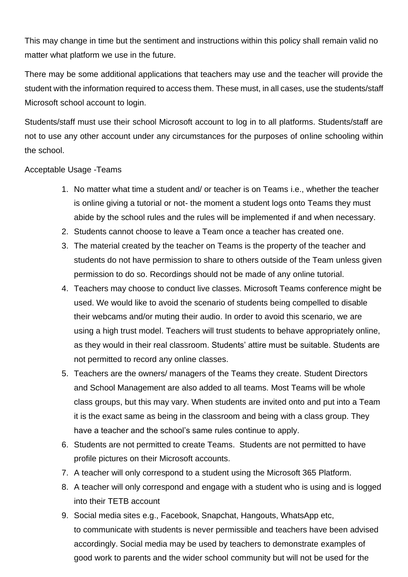This may change in time but the sentiment and instructions within this policy shall remain valid no matter what platform we use in the future.

There may be some additional applications that teachers may use and the teacher will provide the student with the information required to access them. These must, in all cases, use the students/staff Microsoft school account to login.

Students/staff must use their school Microsoft account to log in to all platforms. Students/staff are not to use any other account under any circumstances for the purposes of online schooling within the school.

# Acceptable Usage -Teams

- 1. No matter what time a student and/ or teacher is on Teams i.e., whether the teacher is online giving a tutorial or not- the moment a student logs onto Teams they must abide by the school rules and the rules will be implemented if and when necessary.
- 2. Students cannot choose to leave a Team once a teacher has created one.
- 3. The material created by the teacher on Teams is the property of the teacher and students do not have permission to share to others outside of the Team unless given permission to do so. Recordings should not be made of any online tutorial.
- 4. Teachers may choose to conduct live classes. Microsoft Teams conference might be used. We would like to avoid the scenario of students being compelled to disable their webcams and/or muting their audio. In order to avoid this scenario, we are using a high trust model. Teachers will trust students to behave appropriately online, as they would in their real classroom. Students' attire must be suitable. Students are not permitted to record any online classes.
- 5. Teachers are the owners/ managers of the Teams they create. Student Directors and School Management are also added to all teams. Most Teams will be whole class groups, but this may vary. When students are invited onto and put into a Team it is the exact same as being in the classroom and being with a class group. They have a teacher and the school's same rules continue to apply.
- 6. Students are not permitted to create Teams. Students are not permitted to have profile pictures on their Microsoft accounts.
- 7. A teacher will only correspond to a student using the Microsoft 365 Platform.
- 8. A teacher will only correspond and engage with a student who is using and is logged into their TETB account
- 9. Social media sites e.g., Facebook, Snapchat, Hangouts, WhatsApp etc, to communicate with students is never permissible and teachers have been advised accordingly. Social media may be used by teachers to demonstrate examples of good work to parents and the wider school community but will not be used for the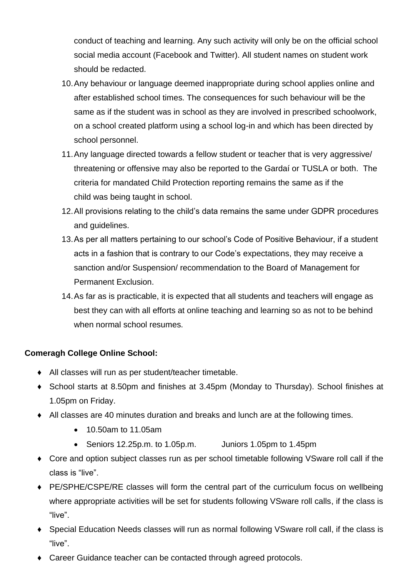conduct of teaching and learning. Any such activity will only be on the official school social media account (Facebook and Twitter). All student names on student work should be redacted.

- 10.Any behaviour or language deemed inappropriate during school applies online and after established school times. The consequences for such behaviour will be the same as if the student was in school as they are involved in prescribed schoolwork, on a school created platform using a school log-in and which has been directed by school personnel.
- 11.Any language directed towards a fellow student or teacher that is very aggressive/ threatening or offensive may also be reported to the Gardaí or TUSLA or both. The criteria for mandated Child Protection reporting remains the same as if the child was being taught in school.
- 12.All provisions relating to the child's data remains the same under GDPR procedures and guidelines.
- 13.As per all matters pertaining to our school's Code of Positive Behaviour, if a student acts in a fashion that is contrary to our Code's expectations, they may receive a sanction and/or Suspension/ recommendation to the Board of Management for Permanent Exclusion.
- 14.As far as is practicable, it is expected that all students and teachers will engage as best they can with all efforts at online teaching and learning so as not to be behind when normal school resumes.

# **Comeragh College Online School:**

- ♦ All classes will run as per student/teacher timetable.
- ♦ School starts at 8.50pm and finishes at 3.45pm (Monday to Thursday). School finishes at 1.05pm on Friday.
- ♦ All classes are 40 minutes duration and breaks and lunch are at the following times.
	- 10.50am to 11.05am
	- Seniors 12.25p.m. to 1.05p.m. Juniors 1.05pm to 1.45pm
- ♦ Core and option subject classes run as per school timetable following VSware roll call if the class is "live".
- ♦ PE/SPHE/CSPE/RE classes will form the central part of the curriculum focus on wellbeing where appropriate activities will be set for students following VSware roll calls, if the class is "live".
- ♦ Special Education Needs classes will run as normal following VSware roll call, if the class is "live".
- ♦ Career Guidance teacher can be contacted through agreed protocols.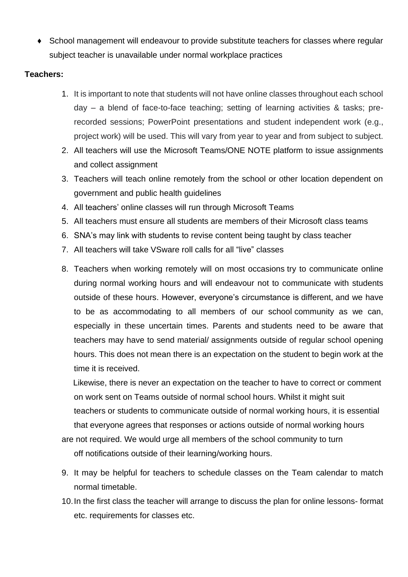♦ School management will endeavour to provide substitute teachers for classes where regular subject teacher is unavailable under normal workplace practices

# **Teachers:**

- 1. It is important to note that students will not have online classes throughout each school day – a blend of face-to-face teaching; setting of learning activities & tasks; prerecorded sessions; PowerPoint presentations and student independent work (e.g., project work) will be used. This will vary from year to year and from subject to subject.
- 2. All teachers will use the Microsoft Teams/ONE NOTE platform to issue assignments and collect assignment
- 3. Teachers will teach online remotely from the school or other location dependent on government and public health guidelines
- 4. All teachers' online classes will run through Microsoft Teams
- 5. All teachers must ensure all students are members of their Microsoft class teams
- 6. SNA's may link with students to revise content being taught by class teacher
- 7. All teachers will take VSware roll calls for all "live" classes
- 8. Teachers when working remotely will on most occasions try to communicate online during normal working hours and will endeavour not to communicate with students outside of these hours. However, everyone's circumstance is different, and we have to be as accommodating to all members of our school community as we can, especially in these uncertain times. Parents and students need to be aware that teachers may have to send material/ assignments outside of regular school opening hours. This does not mean there is an expectation on the student to begin work at the time it is received.

 Likewise, there is never an expectation on the teacher to have to correct or comment on work sent on Teams outside of normal school hours. Whilst it might suit teachers or students to communicate outside of normal working hours, it is essential that everyone agrees that responses or actions outside of normal working hours

are not required. We would urge all members of the school community to turn off notifications outside of their learning/working hours.

- 9. It may be helpful for teachers to schedule classes on the Team calendar to match normal timetable.
- 10.In the first class the teacher will arrange to discuss the plan for online lessons- format etc. requirements for classes etc.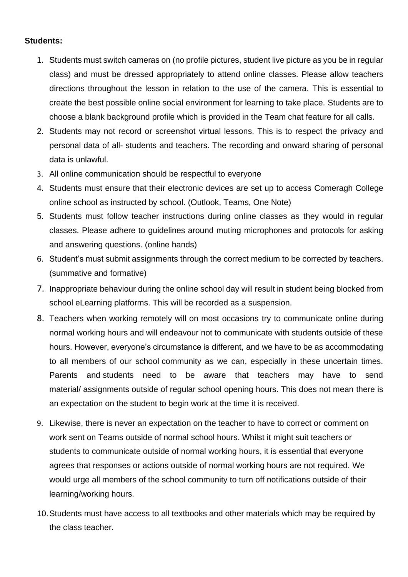#### **Students:**

- 1. Students must switch cameras on (no profile pictures, student live picture as you be in regular class) and must be dressed appropriately to attend online classes. Please allow teachers directions throughout the lesson in relation to the use of the camera. This is essential to create the best possible online social environment for learning to take place. Students are to choose a blank background profile which is provided in the Team chat feature for all calls.
- 2. Students may not record or screenshot virtual lessons. This is to respect the privacy and personal data of all- students and teachers. The recording and onward sharing of personal data is unlawful.
- 3. All online communication should be respectful to everyone
- 4. Students must ensure that their electronic devices are set up to access Comeragh College online school as instructed by school. (Outlook, Teams, One Note)
- 5. Students must follow teacher instructions during online classes as they would in regular classes. Please adhere to guidelines around muting microphones and protocols for asking and answering questions. (online hands)
- 6. Student's must submit assignments through the correct medium to be corrected by teachers. (summative and formative)
- 7. Inappropriate behaviour during the online school day will result in student being blocked from school eLearning platforms. This will be recorded as a suspension.
- 8. Teachers when working remotely will on most occasions try to communicate online during normal working hours and will endeavour not to communicate with students outside of these hours. However, everyone's circumstance is different, and we have to be as accommodating to all members of our school community as we can, especially in these uncertain times. Parents and students need to be aware that teachers may have to send material/ assignments outside of regular school opening hours. This does not mean there is an expectation on the student to begin work at the time it is received.
- 9. Likewise, there is never an expectation on the teacher to have to correct or comment on work sent on Teams outside of normal school hours. Whilst it might suit teachers or students to communicate outside of normal working hours, it is essential that everyone agrees that responses or actions outside of normal working hours are not required. We would urge all members of the school community to turn off notifications outside of their learning/working hours.
- 10.Students must have access to all textbooks and other materials which may be required by the class teacher.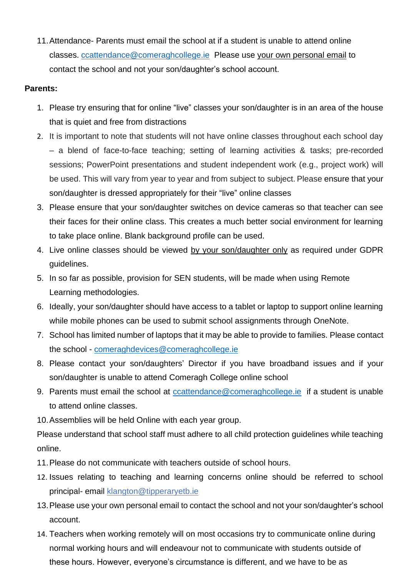11.Attendance- Parents must email the school at if a student is unable to attend online classes. [ccattendance@comeraghcollege.ie](mailto:ccattendance@comeraghcollege.ie) Please use your own personal email to contact the school and not your son/daughter's school account.

# **Parents:**

- 1. Please try ensuring that for online "live" classes your son/daughter is in an area of the house that is quiet and free from distractions
- 2. It is important to note that students will not have online classes throughout each school day – a blend of face-to-face teaching; setting of learning activities & tasks; pre-recorded sessions; PowerPoint presentations and student independent work (e.g., project work) will be used. This will vary from year to year and from subject to subject. Please ensure that your son/daughter is dressed appropriately for their "live" online classes
- 3. Please ensure that your son/daughter switches on device cameras so that teacher can see their faces for their online class. This creates a much better social environment for learning to take place online. Blank background profile can be used.
- 4. Live online classes should be viewed by your son/daughter only as required under GDPR guidelines.
- 5. In so far as possible, provision for SEN students, will be made when using Remote Learning methodologies.
- 6. Ideally, your son/daughter should have access to a tablet or laptop to support online learning while mobile phones can be used to submit school assignments through OneNote.
- 7. School has limited number of laptops that it may be able to provide to families. Please contact the school - [comeraghdevices@comeraghcollege.ie](mailto:comeraghdevices@comeraghcollege.ie)
- 8. Please contact your son/daughters' Director if you have broadband issues and if your son/daughter is unable to attend Comeragh College online school
- 9. Parents must email the school at [ccattendance@comeraghcollege.ie](mailto:ccattendance@comeraghcollege.ie) if a student is unable to attend online classes.
- 10.Assemblies will be held Online with each year group.

Please understand that school staff must adhere to all child protection guidelines while teaching online.

- 11.Please do not communicate with teachers outside of school hours.
- 12. Issues relating to teaching and learning concerns online should be referred to school principal- email [klangton@tipperaryetb.ie](mailto:klangton@tipperaryetb.ie)
- 13.Please use your own personal email to contact the school and not your son/daughter's school account.
- 14. Teachers when working remotely will on most occasions try to communicate online during normal working hours and will endeavour not to communicate with students outside of these hours. However, everyone's circumstance is different, and we have to be as